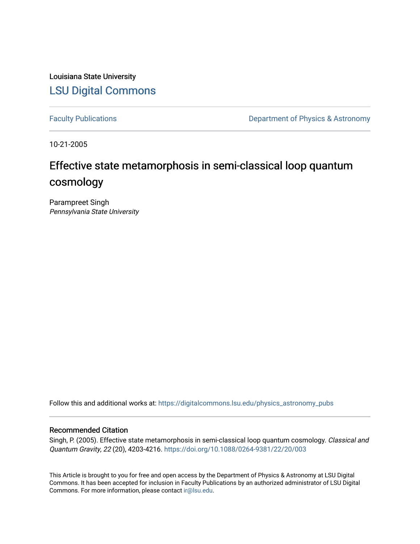Louisiana State University [LSU Digital Commons](https://digitalcommons.lsu.edu/)

[Faculty Publications](https://digitalcommons.lsu.edu/physics_astronomy_pubs) **Exercise 2** Constant Department of Physics & Astronomy

10-21-2005

# Effective state metamorphosis in semi-classical loop quantum cosmology

Parampreet Singh Pennsylvania State University

Follow this and additional works at: [https://digitalcommons.lsu.edu/physics\\_astronomy\\_pubs](https://digitalcommons.lsu.edu/physics_astronomy_pubs?utm_source=digitalcommons.lsu.edu%2Fphysics_astronomy_pubs%2F5095&utm_medium=PDF&utm_campaign=PDFCoverPages) 

# Recommended Citation

Singh, P. (2005). Effective state metamorphosis in semi-classical loop quantum cosmology. Classical and Quantum Gravity, 22 (20), 4203-4216.<https://doi.org/10.1088/0264-9381/22/20/003>

This Article is brought to you for free and open access by the Department of Physics & Astronomy at LSU Digital Commons. It has been accepted for inclusion in Faculty Publications by an authorized administrator of LSU Digital Commons. For more information, please contact [ir@lsu.edu](mailto:ir@lsu.edu).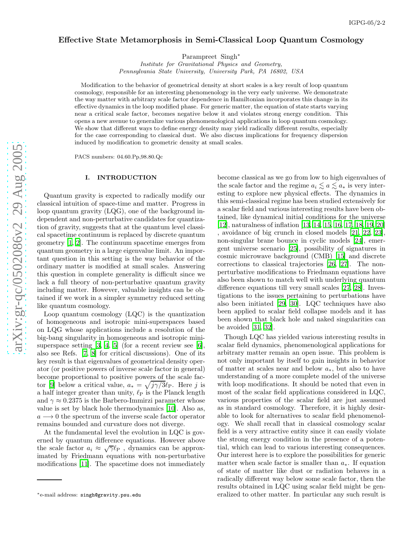# Effective State Metamorphosis in Semi-Classical Loop Quantum Cosmology

Parampreet Singh<sup>\*</sup>

Institute for Gravitational Physics and Geometry, Pennsylvania State University, University Park, PA 16802, USA

Modification to the behavior of geometrical density at short scales is a key result of loop quantum cosmology, responsible for an interesting phenomenology in the very early universe. We demonstrate the way matter with arbitrary scale factor dependence in Hamiltonian incorporates this change in its effective dynamics in the loop modified phase. For generic matter, the equation of state starts varying near a critical scale factor, becomes negative below it and violates strong energy condition. This opens a new avenue to generalize various phenomenological applications in loop quantum cosmology. We show that different ways to define energy density may yield radically different results, especially for the case corresponding to classical dust. We also discuss implications for frequency dispersion induced by modification to geometric density at small scales .

PACS numbers: 04.60.Pp,98.80.Qc

## I. INTRODUCTION

Quantum gravity is expected to radically modify our classical intuition of space-time and matter. Progress in loop quantum gravity (LQG), one of the background independent and non-perturbative candidates for quantization of gravity, suggests that at the quantum level classical spacetime continuum is replaced by discrete quantum geometry [\[1](#page-8-0), [2](#page-8-1)]. The continuum spacetime emerges from quantum geometry in a large eigenvalue limit. An important question in this setting is the way behavior of the ordinary matter is modified at small scales. Answering this question in complete generality is difficult since we lack a full theory of non-perturbative quantum gravity including matter. However, valuable insights can be obtained if we work in a simpler symmetry reduced setting like quantum cosmology.

Loop quantum cosmology (LQC) is the quantization of homogeneous and isotropic mini-superspaces based on LQG whose applications include a resolution of the big-bang singularity in homogeneous and isotropic minisuperspace setting  $[3, 4, 5]$  $[3, 4, 5]$  $[3, 4, 5]$  $[3, 4, 5]$  (for a recent review see  $[6]$ , also see Refs. [\[7,](#page-8-6) [8\]](#page-8-7) for critical discussions). One of its key result is that eigenvalues of geometrical density operator (or positive powers of inverse scale factor in general) become proportional to positive powers of the scale fac-tor [\[9](#page-8-8)] below a critical value,  $a_* = \sqrt{j\gamma/3} \ell_P$ . Here j is a half integer greater than unity,  $\ell_{\rm P}$  is the Planck length and  $\gamma \approx 0.2375$  is the Barbero-Immirzi parameter whose value is set by black hole thermodynamics [\[10\]](#page-9-0). Also as,  $a \rightarrow 0$  the spectrum of the inverse scale factor operator remains bounded and curvature does not diverge.

At the fundamental level the evolution in LQC is governed by quantum difference equations. However above the scale factor  $a_i \approx \sqrt{\gamma} \ell_{\rm P}$ , dynamics can be approximated by Friedmann equations with non-perturbative modifications [\[11](#page-9-1)]. The spacetime does not immediately

become classical as we go from low to high eigenvalues of the scale factor and the regime  $a_i \lesssim a \lesssim a_*$  is very interesting to explore new physical effects. The dynamics in this semi-classical regime has been studied extensively for a scalar field and various interesting results have been obtained, like dynamical initial conditions for the universe [\[12\]](#page-9-2), naturalness of inflation [\[13,](#page-9-3) [14,](#page-9-4) [15,](#page-9-5) [16,](#page-9-6) [17](#page-9-7), [18,](#page-9-8) [19,](#page-9-9) [20](#page-9-10)] , avoidance of big crunch in closed models [\[21,](#page-9-11) [22,](#page-9-12) [23\]](#page-9-13), non-singular brane bounce in cyclic models [\[24\]](#page-9-14), emergent universe scenario [\[25\]](#page-9-15), possibility of signatures in cosmic microwave background (CMB) [\[15\]](#page-9-5) and discrete corrections to classical trajectories [\[26,](#page-9-16) [27\]](#page-9-17). The nonperturbative modifications to Friedmann equations have also been shown to match well with underlying quantum difference equations till very small scales [\[27](#page-9-17), [28\]](#page-9-18). Investigations to the issues pertaining to perturbations have also been initiated [\[29](#page-9-19), [30](#page-9-20)]. LQC techniques have also been applied to scalar field collapse models and it has been shown that black hole and naked singularities can be avoided [\[31,](#page-9-21) [32\]](#page-9-22).

Though LQC has yielded various interesting results in scalar field dynamics, phenomenological applications for arbitrary matter remain an open issue. This problem is not only important by itself to gain insights in behavior of matter at scales near and below  $a_*$ , but also to have understanding of a more complete model of the universe with loop modifications. It should be noted that even in most of the scalar field applications considered in LQC, various properties of the scalar field are just assumed as in standard cosmology. Therefore, it is highly desirable to look for alternatives to scalar field phenomenology. We shall recall that in classical cosmology scalar field is a very attractive entity since it can easily violate the strong energy condition in the presence of a potential, which can lead to various interesting consequences. Our interest here is to explore the possibilities for generic matter when scale factor is smaller than  $a_*$ . If equation of state of matter like dust or radiation behaves in a radically different way below some scale factor, then the results obtained in LQC using scalar field might be generalized to other matter. In particular any such result is

<sup>∗</sup>e-mail address: singh@gravity.psu.edu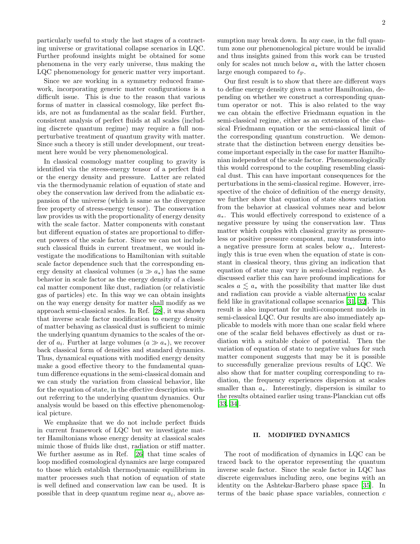particularly useful to study the last stages of a contracting universe or gravitational collapse scenarios in LQC. Further profound insights might be obtained for some phenomena in the very early universe, thus making the LQC phenomenology for generic matter very important.

Since we are working in a symmetry reduced framework, incorporating generic matter configurations is a difficult issue. This is due to the reason that various forms of matter in classical cosmology, like perfect fluids, are not as fundamental as the scalar field. Further, consistent analysis of perfect fluids at all scales (including discrete quantum regime) may require a full nonperturbative treatment of quantum gravity with matter. Since such a theory is still under development, our treatment here would be very phenomenological.

In classical cosmology matter coupling to gravity is identified via the stress-energy tensor of a perfect fluid or the energy density and pressure. Latter are related via the thermodynamic relation of equation of state and obey the conservation law derived from the adiabatic expansion of the universe (which is same as the divergence free property of stress-energy tensor). The conservation law provides us with the proportionality of energy density with the scale factor. Matter components with constant but different equation of states are proportional to different powers of the scale factor. Since we can not include such classical fluids in current treatment, we would investigate the modifications to Hamiltonian with suitable scale factor dependence such that the corresponding energy density at classical volumes  $(a \gg a_*)$  has the same behavior in scale factor as the energy density of a classical matter component like dust, radiation (or relativistic gas of particles) etc. In this way we can obtain insights on the way energy density for matter shall modify as we approach semi-classical scales. In Ref. [\[28](#page-9-18)], it was shown that inverse scale factor modification to energy density of matter behaving as classical dust is sufficient to mimic the underlying quantum dynamics to the scales of the order of  $a_i$ . Further at large volumes  $(a \gg a_*)$ , we recover back classical form of densities and standard dynamics. Thus, dynamical equations with modified energy density make a good effective theory to the fundamental quantum difference equations in the semi-classical domain and we can study the variation from classical behavior, like for the equation of state, in the effective description without referring to the underlying quantum dynamics. Our analysis would be based on this effective phenomenological picture.

We emphasize that we do not include perfect fluids in current framework of LQC but we investigate matter Hamiltonians whose energy density at classical scales mimic those of fluids like dust, radiation or stiff matter. We further assume as in Ref. [\[26\]](#page-9-16) that time scales of loop modified cosmological dynamics are large compared to those which establish thermodynamic equilibrium in matter processes such that notion of equation of state is well defined and conservation law can be used. It is possible that in deep quantum regime near  $a_i$ , above assumption may break down. In any case, in the full quantum zone our phenomenological picture would be invalid and thus insights gained from this work can be trusted only for scales not much below  $a_*$  with the latter chosen large enough compared to  $\ell_{\rm P}$ .

Our first result is to show that there are different ways to define energy density given a matter Hamiltonian, depending on whether we construct a corresponding quantum operator or not. This is also related to the way we can obtain the effective Friedmann equation in the semi-classical regime, either as an extension of the classical Friedmann equation or the semi-classical limit of the corresponding quantum construction. We demonstrate that the distinction between energy densities become important especially in the case for matter Hamiltonian independent of the scale factor. Phenomenologically this would correspond to the coupling resembling classical dust. This can have important consequences for the perturbations in the semi-classical regime. However, irrespective of the choice of definition of the energy density, we further show that equation of state shows variation from the behavior at classical volumes near and below a∗. This would effectively correspond to existence of a negative pressure by using the conservation law. Thus matter which couples with classical gravity as pressureless or positive pressure component, may transform into a negative pressure form at scales below a∗. Interestingly this is true even when the equation of state is constant in classical theory, thus giving an indication that equation of state may vary in semi-classical regime. As discussed earlier this can have profound implications for scales  $a \leq a_*$  with the possibility that matter like dust and radiation can provide a viable alternative to scalar field like in gravitational collapse scenarios [\[31](#page-9-21), [32\]](#page-9-22). This result is also important for multi-component models in semi-classical LQC. Our results are also immediately applicable to models with more than one scalar field where one of the scalar field behaves effectively as dust or radiation with a suitable choice of potential. Then the variation of equation of state to negative values for such matter component suggests that may be it is possible to successfully generalize previous results of LQC. We also show that for matter coupling corresponding to radiation, the frequency experiences dispersion at scales smaller than  $a_{\ast}$ . Interestingly, dispersion is similar to the results obtained earlier using trans-Planckian cut offs [\[33,](#page-9-23) [34\]](#page-9-24).

### II. MODIFIED DYNAMICS

The root of modification of dynamics in LQC can be traced back to the operator representing the quantum inverse scale factor. Since the scale factor in LQC has discrete eigenvalues including zero, one begins with an identity on the Ashtekar-Barbero phase space [\[35\]](#page-9-25). In terms of the basic phase space variables, connection  $c$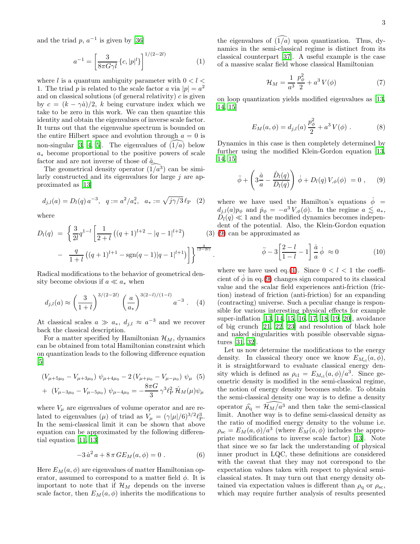and the triad  $p, a^{-1}$  is given by [\[36\]](#page-9-26)

<span id="page-3-2"></span>
$$
a^{-1} = \left[\frac{3}{8\pi G\gamma l} \left\{c, |p|^l\right\}\right]^{1/(2-2l)}\tag{1}
$$

where  $l$  is a quantum ambiguity parameter with  $0 < l <$ 1. The triad p is related to the scale factor a via  $|p| = a^2$ and on classical solutions (of general relativity)  $c$  is given by  $c = (k - \gamma \dot{a})/2$ , k being curvature index which we take to be zero in this work. We can then quantize this identity and obtain the eigenvalues of inverse scale factor. It turns out that the eigenvalue spectrum is bounded on the entire Hilbert space and evolution through  $a = 0$  is non-singular [\[3](#page-8-2), [4,](#page-8-3) [5\]](#page-8-4). The eigenvalues of  $(1/a)$  below a∗ become proportional to the positive powers of scale factor and are not inverse of those of  $\hat{a}$ .

The geometrical density operator  $(\hat{1}/a^3)$  can be similarly constructed and its eigenvalues for large  $j$  are approximated as [\[13\]](#page-9-3)

$$
d_{j,l}(a) = D_l(q) a^{-3}, \quad q := a^2/a_*^2, \quad a_* := \sqrt{j\gamma/3} \ell_{\rm P} \quad (2)
$$

where

<span id="page-3-4"></span>
$$
D_l(q) = \left\{ \frac{3}{2l} q^{1-l} \left[ \frac{1}{2+l} \left( (q+1)^{l+2} - |q-1|^{l+2} \right) \right] \right\}^{(3)}
$$

$$
- \frac{q}{1+l} \left( (q+1)^{l+1} - \text{sgn}(q-1) |q-1|^{l+1} \right) \right\}^{\frac{3}{(2-2l)}}
$$

.

Radical modifications to the behavior of geometrical density become obvious if  $a \ll a_*$  when

<span id="page-3-1"></span>
$$
d_{j,l}(a) \approx \left(\frac{3}{1+l}\right)^{3/(2-2l)} \left(\frac{a}{a_*}\right)^{3(2-l)/(1-l)} a^{-3} \quad (4)
$$

At classical scales  $a \gg a_*, d_{j,l} \approx a^{-3}$  and we recover back the classical description.

For a matter specified by Hamiltonian  $\mathcal{H}_M$ , dynamics can be obtained from total Hamiltonian constraint which on quantization leads to the following difference equation  $\vert 5 \vert$ 

$$
(V_{\mu+5\mu_0} - V_{\mu+3\mu_0}) \psi_{\mu+4\mu_0} - 2(V_{\mu+\mu_0} - V_{\mu-\mu_0}) \psi_{\mu} (5)
$$

+ 
$$
(V_{\mu-3\mu_0} - V_{\mu-5\mu_0}) \psi_{\mu-4\mu_0} = -\frac{8\pi G}{3} \gamma^3 \ell_{\rm P}^2 \hat{\mathcal{H}}_M(\mu) \psi_{\mu}
$$

<span id="page-3-3"></span>where  $V_{\mu}$  are eigenvalues of volume operator and are related to eigenvalues ( $\mu$ ) of triad as  $V_{\mu} = (\gamma |\mu|/6)^{3/2} \ell_P^3$ . In the semi-classical limit it can be shown that above equation can be approximated by the following differential equation [\[11](#page-9-1), [13](#page-9-3)]

$$
-3\,\dot{a}^2\,a + 8\,\pi\,GE_M(a,\phi) = 0\;.
$$
 (6)

Here  $E_M(a, \phi)$  are eigenvalues of matter Hamiltonian operator, assumed to correspond to a matter field  $\phi$ . It is important to note that if  $\mathcal{H}_M$  depends on the inverse scale factor, then  $E_M(a, \phi)$  inherits the modifications to

the eigenvalues of  $(1/a)$  upon quantization. Thus, dynamics in the semi-classical regime is distinct from its classical counterpart [\[37](#page-9-27)]. A useful example is the case of a massive scalar field whose classical Hamiltonian

$$
\mathcal{H}_M = \frac{1}{a^3} \frac{p_\phi^2}{2} + a^3 V(\phi) \tag{7}
$$

<span id="page-3-5"></span>on loop quantization yields modified eigenvalues as [\[13](#page-9-3), [14,](#page-9-4) [15](#page-9-5)]

$$
E_M(a,\phi) = d_{j,l}(a)\frac{p_{\phi}^2}{2} + a^3 V(\phi) . \tag{8}
$$

<span id="page-3-0"></span>Dynamics in this case is then completely determined by further using the modified Klein-Gordon equation [\[13](#page-9-3), [14,](#page-9-4) [15](#page-9-5)]

$$
\ddot{\phi} + \left(3\frac{\dot{a}}{a} - \frac{\dot{D}_l(q)}{D_l(q)}\right)\dot{\phi} + D_l(q)V_{,\phi}(\phi) = 0 , \qquad (9)
$$

(3) [\(9\)](#page-3-0) can be approximated as where we have used the Hamilton's equations  $\dot{\phi}$  =  $d_{j,l}(a)p_{\phi}$  and  $p_{\phi} = -a^3 V_{,\phi}(\phi)$ . In the regime  $a \lesssim a_*,$  $D_l(q) \ll 1$  and the modified dynamics becomes independent of the potential. Also, the Klein-Gordon equation

$$
\ddot{\phi} - 3\left[\frac{2-l}{1-l} - 1\right] \frac{\dot{a}}{a} \dot{\phi} \approx 0 \tag{10}
$$

where we have used eq.[\(4\)](#page-3-1). Since  $0 < l < 1$  the coefficient of  $\dot{\phi}$  in eq.[\(9\)](#page-3-0) changes sign compared to its classical value and the scalar field experiences anti-friction (friction) instead of friction (anti-friction) for an expanding (contracting) universe. Such a peculiar change is responsible for various interesting physical effects for example super-inflation [\[13](#page-9-3), [14,](#page-9-4) [15,](#page-9-5) [16](#page-9-6), [17,](#page-9-7) [18,](#page-9-8) [19](#page-9-9), [20\]](#page-9-10), avoidance of big crunch [\[21,](#page-9-11) [22,](#page-9-12) [23](#page-9-13)] and resolution of black hole and naked singularities with possible observable signatures [\[31,](#page-9-21) [32\]](#page-9-22).

Let us now determine the modifications to the energy density. In classical theory once we know  $E_{M_{\rm cl}}(a, \phi)$ , it is straightforward to evaluate classical energy density which is defined as  $\rho_{\text{cl}} = E_{M_{\text{cl}}}(a, \phi)/a^3$ . Since geometric density is modified in the semi-classical regime, the notion of energy density becomes subtle. To obtain the semi-classical density one way is to define a density operator  $\widehat{\rho}_q = \widehat{\mathcal{H}_M/a^3}$  and then take the semi-classical limit. Another way is to define semi-classical density as the ratio of modified energy density to the volume i.e.  $\rho_{\rm sc} = E_M(a, \phi)/a^3$  (where  $E_M(a, \phi)$  includes the appropriate modifications to inverse scale factor) [\[13\]](#page-9-3). Note that since we so far lack the understanding of physical inner product in LQC, these definitions are considered with the caveat that they may not correspond to the expectation values taken with respect to physical semiclassical states. It may turn out that energy density obtained via expectation values is different than  $\rho_{\rm g}$  or  $\rho_{\rm sc}$ , which may require further analysis of results presented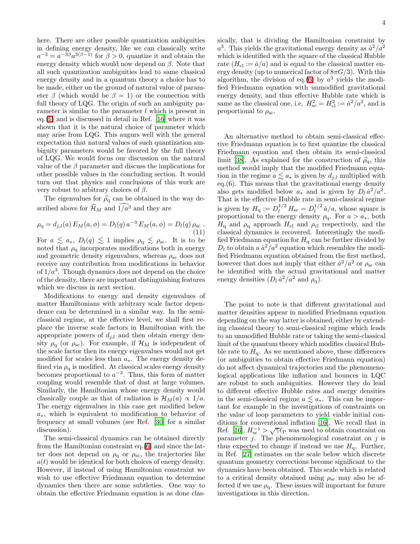here. There are other possible quantization ambiguities in defining energy density, like we can classically write  $a^{-3} = a^{-3\beta} a^{3(\beta-1)}$  for  $\beta > 0$ , quantize it and obtain the energy density which would now depend on  $\beta$ . Note that all such quantization ambiguities lead to same classical energy density and in a quantum theory a choice has to be made, either on the ground of natural value of parameter  $\beta$  (which would be  $\beta = 1$ ) or the connection with full theory of LOG. The origin of such an ambiguity parameter is similar to the parameter  $l$  which is present in eq.[\(1\)](#page-3-2) and is discussed in detail in Ref. [\[16](#page-9-6)] where it was shown that it is the natural choice of parameter which may arise from LQG. This augurs well with the general expectation that natural values of such quantization ambiguity parameters would be favored by the full theory of LQG. We would focus our discussion on the natural value of the  $\beta$  parameter and discuss the implications for other possible values in the concluding section. It would turn out that physics and conclusions of this work are very robust to arbitrary choices of  $\beta$ .

<span id="page-4-0"></span>The eigenvalues for  $\hat{\rho}_q$  can be obtained in the way described above for  $\widehat{\mathcal{H}}_M$  and  $\widehat{1/a^3}$  and they are

$$
\rho_{\mathbf{q}} = d_{j,l}(a) E_M(a, \phi) = D_l(q) a^{-3} E_M(a, \phi) = D_l(q) \rho_{\rm sc}.
$$
\n(11)

For  $a \leq a_*, D_l(q) \leq 1$  implies  $\rho_q \leq \rho_{sc}$ . It is to be noted that  $\rho_q$  incorporates modifications both in energy and geometric density eigenvalues, whereas  $\rho_{\rm sc}$  does not receive any contribution from modifications in behavior of  $1/a<sup>3</sup>$ . Though dynamics does not depend on the choice of the density, there are important distinguishing features which we discuss in next section.

Modifications to energy and density eigenvalues of matter Hamiltonians with arbitrary scale factor dependence can be determined in a similar way. In the semiclassical regime, at the effective level, we shall first replace the inverse scale factors in Hamiltonian with the appropriate powers of  $d_{j,l}$  and then obtain energy density  $\rho_{q}$  (or  $\rho_{sc}$ ). For example, if  $\mathcal{H}_{M}$  is independent of the scale factor then its energy eigenvalues would not get modified for scales less than  $a_*$ . The energy density defined via  $\rho_{\rm q}$  is modified. At classical scales energy density becomes proportional to  $a^{-3}$ . Thus, this form of matter coupling would resemble that of dust at large volumes. Similarly, the Hamiltonian whose energy density would classically couple as that of radiation is  $\mathcal{H}_M(a) \propto 1/a$ . The energy eigenvalues in this case get modified below a∗, which is equivalent to modification to behavior of frequency at small volumes (see Ref. [\[30](#page-9-20)] for a similar discussion).

The semi-classical dynamics can be obtained directly from the Hamiltonian constraint eq.[\(6\)](#page-3-3) and since the latter does not depend on  $\rho_{q}$  or  $\rho_{sc}$ , the trajectories like  $a(t)$  would be identical for both choices of energy density. However, if instead of using Hamiltonian constraint we wish to use effective Friedmann equation to determine dynamics then there are some subtleties. One way to obtain the effective Friedmann equation is as done classically, that is dividing the Hamiltonian constraint by  $a^3$ . This yields the gravitational energy density as  $\dot{a}^2/a^2$ which is identified with the square of the classical Hubble rate  $(H_{\rm cl} := \dot{a}/a)$  and is equal to the classical matter energy density (up to numerical factor of  $8\pi G/3$ ). With this algorithm, the division of eq.[\(6\)](#page-3-3) by  $a^3$  yields the modified Friedmann equation with unmodified gravitational energy density, and thus effective Hubble rate which is same as the classical one, i.e.  $H_{\rm sc}^2 = H_{\rm cl}^2 := \dot{a}^2/a^2$ , and is proportional to  $\rho_{\rm sc}$ .

An alternative method to obtain semi-classical effective Friedmann equation is to first quantize the classical Friedmann equation and then obtain its semi-classical limit [\[38](#page-9-28)]. As explained for the construction of  $\hat{\rho}_{\alpha}$ , this method would imply that the modified Friedmann equation in the regime  $a \lesssim a_*$  is given by  $d_{j,l}$  multiplied with eq.(6). This means that the gravitational energy density also gets modified below  $a_*$  and is given by  $D_l \dot{a}^2/a^2$ . That is the effective Hubble rate in semi-classical regime is given by  $H_{\rm q} := D_l^{1/2} H_{\rm sc} = D_l^{1/2}$  $\int_l^{1/2} \dot{a}/a$ , whose square is proportional to the energy density  $\rho_{q}$ . For  $a > a_{*}$ , both  $H_{\mathrm{q}}$  and  $\rho_{\mathrm{q}}$  approach  $H_{\mathrm{cl}}$  and  $\rho_{\mathrm{cl}}$  respectively, and the classical dynamics is recovered. Interestingly the modified Friedmann equation for  $H<sub>q</sub>$  can be further divided by  $D_l$  to obtain a  $\dot{a}^2/a^2$  equation which resembles the modified Friedmann equation obtained from the first method, however that does not imply that either  $\dot{a}^2/a^2$  or  $\rho_{\rm sc}$  can be identified with the actual gravitational and matter energy densities  $(D_l \dot{a}^2/a^2 \text{ and } \rho_q)$ .

The point to note is that different gravitational and matter densities appear in modified Friedmann equation depending on the way latter is obtained, either by extending classical theory to semi-classical regime which leads to an unmodified Hubble rate or taking the semi-classical limit of the quantum theory which modifies classical Hubble rate to  $H_q$ . As we mentioned above, these differences (or ambiguities to obtain effective Friedmann equation) do not affect dynamical trajectories and the phenomenological applications like inflation and bounces in LQC are robust to such ambiguities. However they do lead to different effective Hubble rates and energy densities in the semi-classical regime  $a \lesssim a_*$ . This can be important for example in the investigations of constraints on the value of loop parameters to yield viable initial conditions for conventional inflation [\[16](#page-9-6)]. We recall that in Ref. [\[16\]](#page-9-6),  $H_{\rm sc}^{-1} > \sqrt{\gamma} \ell_{\rm P}$  was used to obtain constraint on parameter  $j$ . The phenomenological constraint on  $j$  is thus expected to change if instead we use  $H<sub>q</sub>$ . Further, in Ref. [\[27\]](#page-9-17) estimates on the scale below which discrete quantum geometry corrections become significant to the dynamics have been obtained. This scale which is related to a critical density obtained using  $\rho_{\rm sc}$  may also be affected if we use  $\rho_{q}$ . These issues will important for future investigations in this direction.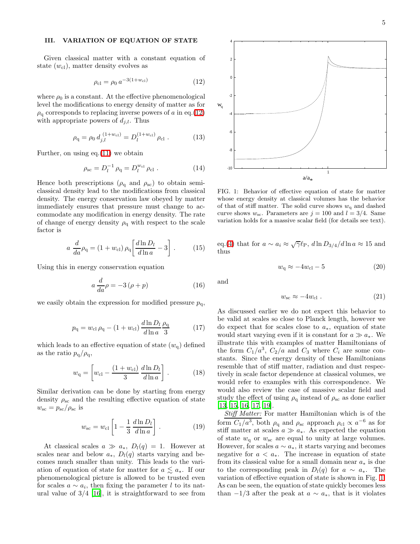#### III. VARIATION OF EQUATION OF STATE

Given classical matter with a constant equation of state  $(w_{\text{cl}})$ , matter density evolves as

<span id="page-5-0"></span>
$$
\rho_{\rm cl} = \rho_0 \, a^{-3(1+w_{\rm cl})} \tag{12}
$$

where  $\rho_0$  is a constant. At the effective phenomenological level the modifications to energy density of matter as for  $\rho_{\rm q}$  corresponds to replacing inverse powers of a in eq.[\(12\)](#page-5-0) with appropriate powers of  $d_{j,l}$ . Thus

$$
\rho_{\rm q} = \rho_0 \, d_{j,l}^{\ (1+w_{\rm cl})} = D_l^{(1+w_{\rm cl})} \, \rho_{\rm cl} \ . \tag{13}
$$

Further, on using eq.[\(11\)](#page-4-0) we obtain

$$
\rho_{\rm sc} = D_l^{-1} \rho_{\rm q} = D_l^{w_{\rm cl}} \rho_{\rm cl} \ . \tag{14}
$$

Hence both prescriptions ( $\rho_{q}$  and  $\rho_{sc}$ ) to obtain semiclassical density lead to the modifications from classical density. The energy conservation law obeyed by matter immediately ensures that pressure must change to accommodate any modification in energy density. The rate of change of energy density  $\rho_q$  with respect to the scale factor is

$$
a \frac{d}{da}\rho_{\mathbf{q}} = (1 + w_{\mathbf{cl}}) \rho_{\mathbf{q}} \left[ \frac{d \ln D_l}{d \ln a} - 3 \right]. \tag{15}
$$

Using this in energy conservation equation

<span id="page-5-2"></span>
$$
a\frac{d}{da}\rho = -3(\rho + p) \tag{16}
$$

we easily obtain the expression for modified pressure  $p_{\alpha}$ ,

$$
p_{\rm q} = w_{\rm cl} \,\rho_{\rm q} - (1 + w_{\rm cl}) \, \frac{d \ln D_l}{d \ln a} \frac{\rho_{\rm q}}{3} \tag{17}
$$

<span id="page-5-3"></span>which leads to an effective equation of state  $(w_{q})$  defined as the ratio  $p_{q}/\rho_{q}$ ,

$$
w_{\rm q} = \left[ w_{\rm cl} - \frac{(1 + w_{\rm cl})}{3} \frac{d \ln D_l}{d \ln a} \right].
$$
 (18)

Similar derivation can be done by starting from energy density  $\rho_{\rm sc}$  and the resulting effective equation of state  $w_{\rm sc} = p_{\rm sc}/\rho_{\rm sc}$  is

$$
w_{\rm sc} = w_{\rm cl} \left[ 1 - \frac{1}{3} \frac{d \ln D_l}{d \ln a} \right]. \tag{19}
$$

At classical scales  $a \gg a_*, D_l(q) = 1.$  However at scales near and below  $a_*, D_l(q)$  starts varying and becomes much smaller than unity. This leads to the variation of equation of state for matter for  $a \lesssim a_*$ . If our phenomenological picture is allowed to be trusted even for scales  $a \sim a_i$ , then fixing the parameter l to its natural value of  $3/4$  [\[16](#page-9-6)], it is straightforward to see from



<span id="page-5-1"></span>FIG. 1: Behavior of effective equation of state for matter whose energy density at classical volumes has the behavior of that of stiff matter. The solid curve shows  $w_q$  and dashed curve shows  $w_{\rm sc}$ . Parameters are  $j = 100$  and  $l = 3/4$ . Same variation holds for a massive scalar field (for details see text).

eq.[\(4\)](#page-3-4) that for  $a \sim a_i \approx \sqrt{\gamma} \ell_{\rm P}$ ,  $d \ln D_{3/4}/d \ln a \approx 15$  and thus

$$
w_{\rm q} \approx -4w_{\rm cl} - 5\tag{20}
$$

and

$$
w_{\rm sc} \approx -4w_{\rm cl} \ . \tag{21}
$$

As discussed earlier we do not expect this behavior to be valid at scales so close to Planck length, however we do expect that for scales close to  $a_*$ , equation of state would start varying even if it is constant for  $a \gg a_*$ . We illustrate this with examples of matter Hamiltonians of the form  $C_1/a^3$ ,  $C_2/a$  and  $C_3$  where  $C_i$  are some constants. Since the energy density of these Hamiltonians resemble that of stiff matter, radiation and dust respectively in scale factor dependence at classical volumes, we would refer to examples with this correspondence. We would also review the case of massive scalar field and study the effect of using  $\rho_{q}$  instead of  $\rho_{sc}$  as done earlier [\[13,](#page-9-3) [15,](#page-9-5) [16,](#page-9-6) [17,](#page-9-7) [19\]](#page-9-9).

Stiff Matter: For matter Hamiltonian which is of the form  $C_1/a^3$ , both  $\rho_q$  and  $\rho_{sc}$  approach  $\rho_{c} \propto a^{-6}$  as for stiff matter at scales  $a \gg a_*$ . As expected the equation of state  $w_q$  or  $w_{\rm sc}$  are equal to unity at large volumes. However, for scales  $a \sim a_*$ , it starts varying and becomes negative for  $a < a_*$ . The increase in equation of state from its classical value for a small domain near  $a_*$  is due to the corresponding peak in  $D_l(q)$  for  $a \sim a_*$ . The variation of effective equation of state is shown in Fig. [1.](#page-5-1) As can be seen, the equation of state quickly becomes less than  $-1/3$  after the peak at  $a \sim a_*$ , that is it violates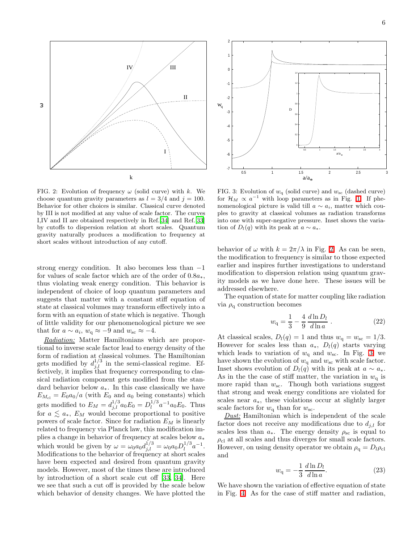

<span id="page-6-0"></span>FIG. 2: Evolution of frequency  $\omega$  (solid curve) with k. We choose quantum gravity parameters as  $l = 3/4$  and  $j = 100$ . Behavior for other choices is similar. Classical curve denoted by III is not modified at any value of scale factor. The curves I,IV and II are obtained respectively in Ref.[\[34](#page-9-24)] and Ref.[\[33](#page-9-23)] by cutoffs to dispersion relation at short scales. Quantum gravity naturally produces a modification to frequency at short scales without introduction of any cutoff.

strong energy condition. It also becomes less than −1 for values of scale factor which are of the order of  $0.8a_*$ , thus violating weak energy condition. This behavior is independent of choice of loop quantum parameters and suggests that matter with a constant stiff equation of state at classical volumes may transform effectively into a form with an equation of state which is negative. Though of little validity for our phenomenological picture we see that for  $a \sim a_i$ ,  $w_q \approx -9$  and  $w_{\rm sc} \approx -4$ .

Radiation: Matter Hamiltonians which are proportional to inverse scale factor lead to energy density of the form of radiation at classical volumes. The Hamiltonian gets modified by  $d_{j,l}^{1/3}$  in the semi-classical regime. Effectively, it implies that frequency corresponding to classical radiation component gets modified from the standard behavior below  $a_{\ast}$ . In this case classically we have  $E_{M_{\rm cl}} = E_0 a_0/a$  (with  $E_0$  and  $a_0$  being constants) which gets modified to  $E_M = d_{j,l}^{1/3} a_0 E_0 = D_l^{1/3}$  $l_1^{1/3}a^{-1}a_0E_0$ . Thus for  $a \leq a_{*}$ ,  $E_M$  would become proportional to positive powers of scale factor. Since for radiation  $E_M$  is linearly related to frequency via Planck law, this modification implies a change in behavior of frequency at scales below  $a_*$ which would be given by  $\omega = \omega_0 a_0 d_{j,l}^{1/3} = \omega_0 a_0 D_l^{1/3}$  $l^{1/3}a^{-1}.$ Modifications to the behavior of frequency at short scales have been expected and desired from quantum gravity models. However, most of the times these are introduced by introduction of a short scale cut off [\[33,](#page-9-23) [34](#page-9-24)]. Here we see that such a cut off is provided by the scale below which behavior of density changes. We have plotted the



<span id="page-6-1"></span>FIG. 3: Evolution of  $w_q$  (solid curve) and  $w_{sc}$  (dashed curve) for  $\mathcal{H}_M \propto a^{-1}$  with loop parameters as in Fig. [1.](#page-5-1) If phenomenological picture is valid till  $a \sim a_i$ , matter which couples to gravity at classical volumes as radiation transforms into one with super-negative pressure. Inset shows the variation of  $D_l(q)$  with its peak at  $a \sim a_*$ .

behavior of  $\omega$  with  $k = 2\pi/\lambda$  in Fig. [2.](#page-6-0) As can be seen, the modification to frequency is similar to those expected earlier and inspires further investigations to understand modification to dispersion relation using quantum gravity models as we have done here. These issues will be addressed elsewhere.

The equation of state for matter coupling like radiation via  $\rho_{q}$  construction becomes

$$
w_{\mathbf{q}} = \frac{1}{3} - \frac{4}{9} \frac{d \ln D_l}{d \ln a} \,. \tag{22}
$$

At classical scales,  $D_l(q) = 1$  and thus  $w_q = w_{\rm sc} = 1/3$ . However for scales less than  $a_*$ ,  $D_l(q)$  starts varying which leads to variation of  $w_q$  and  $w_{sc}$ . In Fig. [3,](#page-6-1) we have shown the evolution of  $w_q$  and  $w_{\rm sc}$  with scale factor. Inset shows evolution of  $D_l(q)$  with its peak at  $a \sim a_*$ . As in the the case of stiff matter, the variation in  $w_q$  is more rapid than  $w_{\rm sc}$ . Though both variations suggest that strong and weak energy conditions are violated for scales near  $a_*,$  these violations occur at slightly larger scale factors for  $w_{\rm q}$  than for  $w_{\rm sc}$ .

**Dust:** Hamiltonian which is independent of the scale factor does not receive any modifications due to  $d_{i,l}$  for scales less than  $a_*$ . The energy density  $\rho_{sc}$  is equal to  $\rho_{\rm cl}$  at all scales and thus diverges for small scale factors. However, on using density operator we obtain  $\rho_{q} = D_{l} \rho_{cl}$ and

$$
w_{\mathbf{q}} = -\frac{1}{3} \frac{d \ln D_l}{d \ln a}.
$$
\n(23)

We have shown the variation of effective equation of state in Fig. [4.](#page-7-0) As for the case of stiff matter and radiation,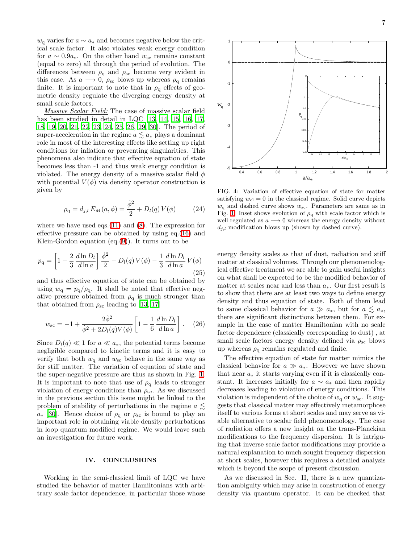$w_q$  varies for  $a \sim a_*$  and becomes negative below the critical scale factor. It also violates weak energy condition for  $a \sim 0.9a_*$ . On the other hand  $w_{\rm sc}$  remains constant (equal to zero) all through the period of evolution. The differences between  $\rho_{q}$  and  $\rho_{sc}$  become very evident in this case. As  $a \longrightarrow 0$ ,  $\rho_{\rm sc}$  blows up whereas  $\rho_{\rm q}$  remains finite. It is important to note that in  $\rho_{q}$  effects of geometric density regulate the diverging energy density at small scale factors.

Massive Scalar Field: The case of massive scalar field has been studied in detail in LQC [\[13](#page-9-3), [14,](#page-9-4) [15](#page-9-5), [16,](#page-9-6) [17](#page-9-7), [18,](#page-9-8) [19,](#page-9-9) [20,](#page-9-10) [21](#page-9-11), [22,](#page-9-12) [23](#page-9-13), [24,](#page-9-14) [25,](#page-9-15) [26](#page-9-16), [29,](#page-9-19) [30](#page-9-20)]. The period of super-acceleration in the regime  $a \lesssim a_*$  plays a dominant role in most of the interesting effects like setting up right conditions for inflation or preventing singularities. This phenomena also indicate that effective equation of state becomes less than -1 and thus weak energy condition is violated. The energy density of a massive scalar field  $\phi$ with potential  $V(\phi)$  via density operator construction is given by

$$
\rho_{\mathbf{q}} = d_{j,l} E_M(a, \phi) = \frac{\dot{\phi}^2}{2} + D_l(q) V(\phi) \tag{24}
$$

where we have used eqs. $(11)$  and  $(8)$ . The expression for effective pressure can be obtained by using eq.[\(16\)](#page-5-2) and Klein-Gordon equation  $(eq.(9))$  $(eq.(9))$  $(eq.(9))$ . It turns out to be

$$
p_{\mathbf{q}} = \left[1 - \frac{2}{3} \frac{d \ln D_l}{d \ln a}\right] \frac{\dot{\phi}^2}{2} - D_l(q) V(\phi) - \frac{1}{3} \frac{d \ln D_l}{d \ln a} V(\phi)
$$
\n(25)

and thus effective equation of state can be obtained by using  $w_q = p_q/\rho_q$ . It shall be noted that effective negative pressure obtained from  $\rho_{q}$  is much stronger than that obtained from  $\rho_{\rm sc}$  leading to [\[13](#page-9-3), [17\]](#page-9-7)

$$
w_{\rm sc} = -1 + \frac{2\dot{\phi}^2}{\dot{\phi}^2 + 2D_l(q)V(\phi)} \left[ 1 - \frac{1}{6} \frac{d\ln D_l}{d\ln a} \right].
$$
 (26)

Since  $D_l(q) \ll 1$  for  $a \ll a_*$ , the potential terms become negligible compared to kinetic terms and it is easy to verify that both  $w_q$  and  $w_{sc}$  behave in the same way as for stiff matter. The variation of equation of state and the super-negative pressure are thus as shown in Fig. [1.](#page-5-1) It is important to note that use of  $\rho_q$  leads to stronger violation of energy conditions than  $\rho_{\rm sc}$ . As we discussed in the previous section this issue might be linked to the problem of stability of perturbations in the regime  $a \leq$  $a_*$  [\[30\]](#page-9-20). Hence choice of  $\rho_q$  or  $\rho_{sc}$  is bound to play an important role in obtaining viable density perturbations in loop quantum modified regime. We would leave such an investigation for future work.

### IV. CONCLUSIONS

Working in the semi-classical limit of LQC we have studied the behavior of matter Hamiltonians with arbitrary scale factor dependence, in particular those whose



<span id="page-7-0"></span>FIG. 4: Variation of effective equation of state for matter satisfying  $w_{\text{cl}} = 0$  in the classical regime. Solid curve depicts  $w_{\rm q}$  and dashed curve shows  $w_{\rm sc}$ . Parameters are same as in Fig. [1.](#page-5-1) Inset shows evolution of  $\rho<sub>q</sub>$  with scale factor which is well regulated as  $a \rightarrow 0$  whereas the energy density without  $d_{j,l}$  modification blows up (shown by dashed curve).

energy density scales as that of dust, radiation and stiff matter at classical volumes. Through our phenomenological effective treatment we are able to gain useful insights on what shall be expected to be the modified behavior of matter at scales near and less than  $a_*$ . Our first result is to show that there are at least two ways to define energy density and thus equation of state. Both of them lead to same classical behavior for  $a \gg a_*$ , but for  $a \lesssim a_*$ , there are significant distinctions between them. For example in the case of matter Hamiltonian with no scale factor dependence (classically corresponding to dust) , at small scale factors energy density defined via  $\rho_{\rm sc}$  blows up whereas  $\rho_q$  remains regulated and finite.

The effective equation of state for matter mimics the classical behavior for  $a \gg a_*$ . However we have shown that near  $a_*$  it starts varying even if it is classically constant. It increases initially for  $a \sim a_*$  and then rapidly decreases leading to violation of energy conditions. This violation is independent of the choice of  $w_{\rm q}$  or  $w_{\rm sc}$ . It suggests that classical matter may effectively metamorphose itself to various forms at short scales and may serve as viable alternative to scalar field phenomenology. The case of radiation offers a new insight on the trans-Planckian modifications to the frequency dispersion. It is intriguing that inverse scale factor modifications may provide a natural explanation to much sought frequency dispersion at short scales, however this requires a detailed analysis which is beyond the scope of present discussion.

As we discussed in Sec. II, there is a new quantization ambiguity which may arise in construction of energy density via quantum operator. It can be checked that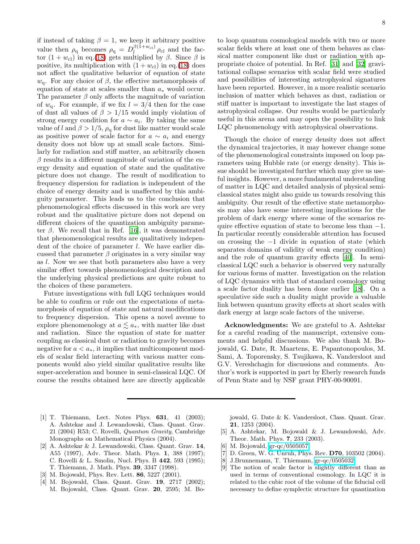if instead of taking  $\beta = 1$ , we keep it arbitrary positive value then  $\rho_{q}$  becomes  $\rho_{q} = D_l^{\beta(1+w_{cl})} \rho_{cl}$  and the factor  $(1 + w_{\text{cl}})$  in eq.[\(18\)](#page-5-3) gets multiplied by  $\beta$ . Since  $\beta$  is positive, its multiplication with  $(1 + w_{\text{cl}})$  in eq.[\(18\)](#page-5-3) does not affect the qualitative behavior of equation of state  $w<sub>q</sub>$ . For any choice of β, the effective metamorphosis of equation of state at scales smaller than  $a_*$  would occur. The parameter  $\beta$  only affects the magnitude of variation of  $w_{\rm q}$ . For example, if we fix  $l = 3/4$  then for the case of dust all values of  $\beta > 1/15$  would imply violation of strong energy condition for  $a \sim a_i$ . By taking the same value of l and  $\beta > 1/5$ ,  $\rho_q$  for dust like matter would scale as positive power of scale factor for  $a \sim a_i$  and energy density does not blow up at small scale factors. Similarly for radiation and stiff matter, an arbitrarily chosen  $\beta$  results in a different magnitude of variation of the energy density and equation of state and the qualitative picture does not change. The result of modification to frequency dispersion for radiation is independent of the choice of energy density and is unaffected by this ambiguity parameter. This leads us to the conclusion that phenomenological effects discussed in this work are very robust and the qualitative picture does not depend on different choices of the quantization ambiguity parameter  $\beta$ . We recall that in Ref. [\[16](#page-9-6)], it was demonstrated that phenomenological results are qualitatively independent of the choice of parameter l. We have earlier discussed that parameter  $\beta$  originates in a very similar way as l. Now we see that both parameters also have a very similar effect towards phenomenological description and the underlying physical predictions are quite robust to the choices of these parameters.

Future investigations with full LQG techniques would be able to confirm or rule out the expectations of metamorphosis of equation of state and natural modifications to frequency dispersion. This opens a novel avenue to explore phenomenology at  $a \lesssim a_*$ , with matter like dust and radiation. Since the equation of state for matter coupling as classical dust or radiation to gravity becomes negative for  $a < a_*$ , it implies that multicomponent models of scalar field interacting with various matter components would also yield similar qualitative results like super-acceleration and bounce in semi-classical LQC. Of course the results obtained here are directly applicable

to loop quantum cosmological models with two or more scalar fields where at least one of them behaves as classical matter component like dust or radiation with appropriate choice of potential. In Ref. [\[31\]](#page-9-21) and [\[32](#page-9-22)] gravitational collapse scenarios with scalar field were studied and possibilities of interesting astrophysical signatures have been reported. However, in a more realistic scenario inclusion of matter which behaves as dust, radiation or stiff matter is important to investigate the last stages of astrophysical collapse. Our results would be particularly useful in this arena and may open the possibility to link

Though the choice of energy density does not affect the dynamical trajectories, it may however change some of the phenomenological constraints imposed on loop parameters using Hubble rate (or energy density). This issue should be investigated further which may give us useful insights. However, a more fundamental understanding of matter in LQC and detailed analysis of physical semiclassical states might also guide us towards resolving this ambiguity. Our result of the effective state metamorphosis may also have some interesting implications for the problem of dark energy where some of the scenarios require effective equation of state to become less than −1. In particular recently considerable attention has focused on crossing the −1 divide in equation of state (which separates domains of validity of weak energy condition) and the role of quantum gravity effects [\[40\]](#page-9-29). In semiclassical LQC such a behavior is observed very naturally for various forms of matter. Investigation on the relation of LQC dynamics with that of standard cosmology using a scale factor duality has been done earlier [\[18\]](#page-9-8). On a speculative side such a duality might provide a valuable link between quantum gravity effects at short scales with dark energy at large scale factors of the universe.

LQC phenomenology with astrophysical observations.

Acknowledgments: We are grateful to A. Ashtekar for a careful reading of the manuscript, extensive comments and helpful discussions. We also thank M. Bojowald, G. Date, R. Maartens, E. Papantonopoulos, M. Sami, A. Toporensky, S. Tsujikawa, K. Vandersloot and G.V. Vereshchagin for discussions and comments. Author's work is supported in part by Eberly research funds of Penn State and by NSF grant PHY-00-90091.

- <span id="page-8-0"></span>[1] T. Thiemann, Lect. Notes Phys. **631**, 41 (2003); A. Ashtekar and J. Lewandowski, Class. Quant. Grav. 21 (2004) R53; C. Rovelli, Quantum Gravity, Cambridge Monographs on Mathematical Physics (2004).
- <span id="page-8-1"></span>[2] A. Ashtekar & J. Lewandowski, Class. Quant. Grav. 14, A55 (1997), Adv. Theor. Math. Phys. 1, 388 (1997); C. Rovelli & L. Smolin, Nucl. Phys. B 442, 593 (1995); T. Thiemann, J. Math. Phys. 39, 3347 (1998).
- <span id="page-8-2"></span>[3] M. Bojowald, Phys. Rev. Lett. 86, 5227 (2001).
- <span id="page-8-3"></span>[4] M. Bojowald, Class. Quant. Grav. 19, 2717 (2002); M. Bojowald, Class. Quant. Grav. 20, 2595; M. Bo-

jowald, G. Date & K. Vandersloot, Class. Quant. Grav. 21, 1253 (2004).

- <span id="page-8-4"></span>[5] A. Ashtekar, M. Bojowald & J. Lewandowski, Adv. Theor. Math. Phys. 7, 233 (2003).
- <span id="page-8-5"></span>[6] M. Bojowald, [gr-qc/0505057.](http://arxiv.org/abs/gr-qc/0505057)
- <span id="page-8-6"></span>[7] D. Green, W. G. Unruh, Phys. Rev. D70, 103502 (2004).
- <span id="page-8-7"></span>[8] J.Brunnemann, T. Thiemann, [gr-qc/0505032.](http://arxiv.org/abs/gr-qc/0505032)
- <span id="page-8-8"></span>[9] The notion of scale factor is slightly different than as used in terms of conventional cosmology. In LQC it is related to the cubic root of the volume of the fiducial cell necessary to define symplectic structure for quantization